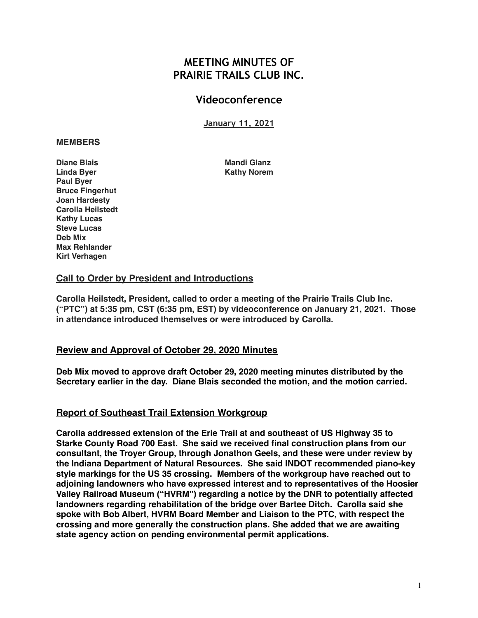# **MEETING MINUTES OF PRAIRIE TRAILS CLUB INC.**

# **Videoconference**

**January 11, 2021**

#### **MEMBERS**

**Diane Blais** Mandi Glanz Linda Byer **Kathy Norem** Kathy Norem **Paul Byer Bruce Fingerhut Joan Hardesty Carolla Heilstedt Kathy Lucas Steve Lucas Deb Mix Max Rehlander Kirt Verhagen**

# **Call to Order by President and Introductions**

**Carolla Heilstedt, President, called to order a meeting of the Prairie Trails Club Inc. ("PTC") at 5:35 pm, CST (6:35 pm, EST) by videoconference on January 21, 2021. Those in attendance introduced themselves or were introduced by Carolla.**

# **Review and Approval of October 29, 2020 Minutes**

**Deb Mix moved to approve draft October 29, 2020 meeting minutes distributed by the Secretary earlier in the day. Diane Blais seconded the motion, and the motion carried.**

### **Report of Southeast Trail Extension Workgroup**

**Carolla addressed extension of the Erie Trail at and southeast of US Highway 35 to Starke County Road 700 East. She said we received final construction plans from our consultant, the Troyer Group, through Jonathon Geels, and these were under review by the Indiana Department of Natural Resources. She said INDOT recommended piano-key style markings for the US 35 crossing. Members of the workgroup have reached out to adjoining landowners who have expressed interest and to representatives of the Hoosier Valley Railroad Museum ("HVRM") regarding a notice by the DNR to potentially affected landowners regarding rehabilitation of the bridge over Bartee Ditch. Carolla said she spoke with Bob Albert, HVRM Board Member and Liaison to the PTC, with respect the crossing and more generally the construction plans. She added that we are awaiting state agency action on pending environmental permit applications.**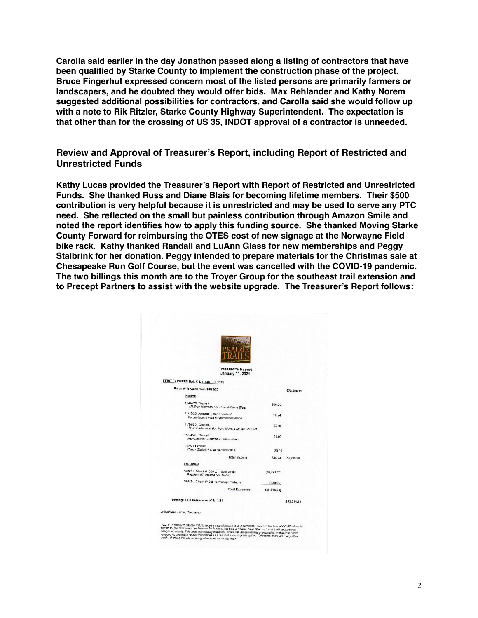**Carolla said earlier in the day Jonathon passed along a listing of contractors that have been qualified by Starke County to implement the construction phase of the project. Bruce Fingerhut expressed concern most of the listed persons are primarily farmers or landscapers, and he doubted they would offer bids. Max Rehlander and Kathy Norem suggested additional possibilities for contractors, and Carolla said she would follow up with a note to Rik Ritzler, Starke County Highway Superintendent. The expectation is that other than for the crossing of US 35, INDOT approval of a contractor is unneeded.**

## **Review and Approval of Treasurer's Report, including Report of Restricted and Unrestricted Funds**

**Kathy Lucas provided the Treasurer's Report with Report of Restricted and Unrestricted Funds. She thanked Russ and Diane Blais for becoming lifetime members. Their \$500 contribution is very helpful because it is unrestricted and may be used to serve any PTC need. She reflected on the small but painless contribution through Amazon Smile and noted the report identifies how to apply this funding source. She thanked Moving Starke County Forward for reimbursing the OTES cost of new signage at the Norwayne Field bike rack. Kathy thanked Randall and LuAnn Glass for new memberships and Peggy Stalbrink for her donation. Peggy intended to prepare materials for the Christmas sale at Chesapeake Run Golf Course, but the event was cancelled with the COVID-19 pandemic. The two billings this month are to the Troyer Group for the southeast trail extension and to Precept Partners to assist with the website upgrade. The Treasurer's Report follows:**

| <b>Treasurer's Report</b><br><b>January 11, 2021</b>                                                                                                                                                                                                                                                                                                                                                                                                                          |              |             |
|-------------------------------------------------------------------------------------------------------------------------------------------------------------------------------------------------------------------------------------------------------------------------------------------------------------------------------------------------------------------------------------------------------------------------------------------------------------------------------|--------------|-------------|
| FIRST FARMERS BANK & TRUST (FFBT)                                                                                                                                                                                                                                                                                                                                                                                                                                             |              |             |
| Balance forward from 10/29/20                                                                                                                                                                                                                                                                                                                                                                                                                                                 |              |             |
| <b>INCOME</b>                                                                                                                                                                                                                                                                                                                                                                                                                                                                 |              | \$72,585.11 |
| 11/02/20 Deposit<br>Lifetime Membership: Russ & Diane Blais                                                                                                                                                                                                                                                                                                                                                                                                                   | 500.00       |             |
| 11/12/20 Amazon Smile donation*<br>Percentage reward for purchases made                                                                                                                                                                                                                                                                                                                                                                                                       | 10.24        |             |
| 11/24/20 Deposit<br>Half of bike rack sign from Moving Starke Co. Fwd                                                                                                                                                                                                                                                                                                                                                                                                         | 55.00        |             |
| 11/24/20 Deposit<br>Membership: Randall & LuAnn Glass                                                                                                                                                                                                                                                                                                                                                                                                                         | 50.00        |             |
| 1/08/21 Deposit<br>Peggy Stalbrink craft sale donation                                                                                                                                                                                                                                                                                                                                                                                                                        | 30.00        |             |
| <b>Total Income</b>                                                                                                                                                                                                                                                                                                                                                                                                                                                           | 645.24       | 73,230,35   |
| <b>EXPENSES</b>                                                                                                                                                                                                                                                                                                                                                                                                                                                               |              |             |
| 1/05/21 Check #1069 to Troyer Group<br>Payment #7, Invoice No. 15798                                                                                                                                                                                                                                                                                                                                                                                                          | (20, 791.25) |             |
| 1/08/21 Check #1068 to Precept Partners                                                                                                                                                                                                                                                                                                                                                                                                                                       | (125.00)     |             |
| <b>Total Expenses</b>                                                                                                                                                                                                                                                                                                                                                                                                                                                         | (20, 916.25) |             |
| Ending FFBT balance as of 1/11/21                                                                                                                                                                                                                                                                                                                                                                                                                                             |              | \$52,314.10 |
| /s/Kathleen Lucas, Treasurer                                                                                                                                                                                                                                                                                                                                                                                                                                                  |              |             |
| "NOTE: It's easy to choose PTC to receive a small portion of your purchases, which in this time of COVID-19 could<br>add up for our club. From the Amazon Smile page, just type in "Prairie Trails Club Inc.", and it will become your<br>designated charity. This costs you nothing additional, works with Amazon Prime membership, and to date I have<br>received no unwanted mail or solicitations as a result of exercising this option. (Of course, there are many other |              |             |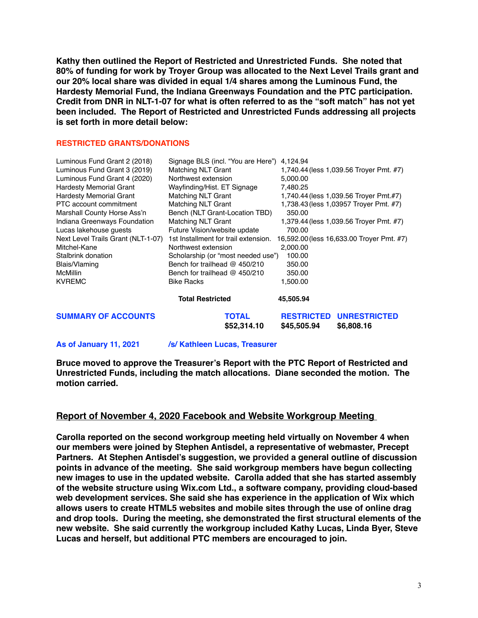**Kathy then outlined the Report of Restricted and Unrestricted Funds. She noted that 80% of funding for work by Troyer Group was allocated to the Next Level Trails grant and our 20% local share was divided in equal 1/4 shares among the Luminous Fund, the Hardesty Memorial Fund, the Indiana Greenways Foundation and the PTC participation. Credit from DNR in NLT-1-07 for what is often referred to as the "soft match" has not yet been included. The Report of Restricted and Unrestricted Funds addressing all projects is set forth in more detail below:**

#### **RESTRICTED GRANTS/DONATIONS**

| Luminous Fund Grant 2 (2018)       | Signage BLS (incl. "You are Here")   | 4.124.94                                                              |
|------------------------------------|--------------------------------------|-----------------------------------------------------------------------|
| Luminous Fund Grant 3 (2019)       | <b>Matching NLT Grant</b>            | 1,740.44 (less 1,039.56 Troyer Pmt. #7)                               |
| Luminous Fund Grant 4 (2020)       | Northwest extension                  | 5,000.00                                                              |
| <b>Hardesty Memorial Grant</b>     | Wayfinding/Hist. ET Signage          | 7,480.25                                                              |
| <b>Hardesty Memorial Grant</b>     | <b>Matching NLT Grant</b>            | 1,740.44 (less 1,039.56 Troyer Pmt.#7)                                |
| PTC account commitment             | <b>Matching NLT Grant</b>            | 1,738.43 (less 1,03957 Trover Pmt. #7)                                |
| Marshall County Horse Ass'n        | Bench (NLT Grant-Location TBD)       | 350.00                                                                |
| Indiana Greenways Foundation       | Matching NLT Grant                   | 1,379.44 (less 1,039.56 Troyer Pmt. #7)                               |
| Lucas lakehouse guests             | Future Vision/website update         | 700.00                                                                |
| Next Level Trails Grant (NLT-1-07) | 1st Installment for trail extension. | 16,592.00 (less 16,633.00 Troyer Pmt. #7)                             |
| Mitchel-Kane                       | Northwest extension                  | 2,000.00                                                              |
| Stalbrink donation                 | Scholarship (or "most needed use")   | 100.00                                                                |
| Blais/Vlaming                      | Bench for trailhead $@$ 450/210      | 350.00                                                                |
| <b>McMillin</b>                    | Bench for trailhead @ 450/210        | 350.00                                                                |
| <b>KVREMC</b>                      | <b>Bike Racks</b>                    | 1,500.00                                                              |
|                                    | <b>Total Restricted</b>              | 45,505.94                                                             |
| <b>SUMMARY OF ACCOUNTS</b>         | <b>TOTAL</b><br>\$52,314.10          | <b>RESTRICTED</b><br><b>UNRESTRICTED</b><br>\$45,505.94<br>\$6,808.16 |

**As of January 11, 2021 /s/ Kathleen Lucas, Treasurer**

**Bruce moved to approve the Treasurer's Report with the PTC Report of Restricted and Unrestricted Funds, including the match allocations. Diane seconded the motion. The motion carried.**

### **Report of November 4, 2020 Facebook and Website Workgroup Meeting**

**Carolla reported on the second workgroup meeting held virtually on November 4 when our members were joined by Stephen Antisdel, a representative of webmaster, Precept Partners. At Stephen Antisdel's suggestion, we provided a general outline of discussion points in advance of the meeting. She said workgroup members have begun collecting new images to use in the updated website. Carolla added that she has started assembly of the website structure using Wix.com Ltd., a software company, providing cloud-based web development services. She said she has experience in the application of Wix which allows users to create HTML5 websites and mobile sites through the use of online drag and drop tools. During the meeting, she demonstrated the first structural elements of the new website. She said currently the workgroup included Kathy Lucas, Linda Byer, Steve Lucas and herself, but additional PTC members are encouraged to join.**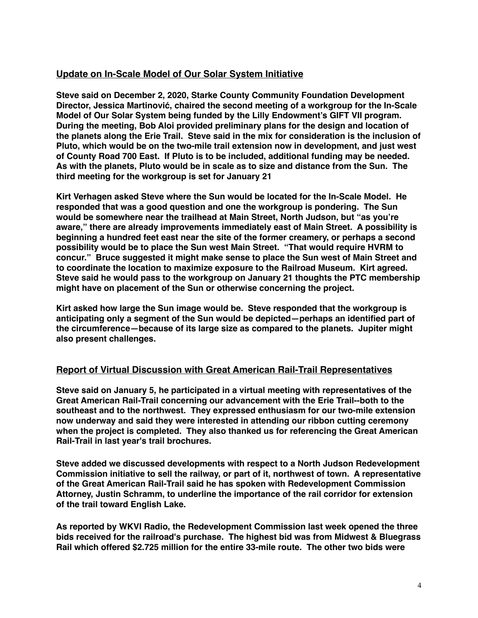# **Update on In-Scale Model of Our Solar System Initiative**

**Steve said on December 2, 2020, Starke County Community Foundation Development Director, Jessica Martinović, chaired the second meeting of a workgroup for the In-Scale Model of Our Solar System being funded by the Lilly Endowment's GIFT VII program. During the meeting, Bob Aloi provided preliminary plans for the design and location of the planets along the Erie Trail. Steve said in the mix for consideration is the inclusion of Pluto, which would be on the two-mile trail extension now in development, and just west of County Road 700 East. If Pluto is to be included, additional funding may be needed. As with the planets, Pluto would be in scale as to size and distance from the Sun. The third meeting for the workgroup is set for January 21**

**Kirt Verhagen asked Steve where the Sun would be located for the In-Scale Model. He responded that was a good question and one the workgroup is pondering. The Sun would be somewhere near the trailhead at Main Street, North Judson, but "as you're aware," there are already improvements immediately east of Main Street. A possibility is beginning a hundred feet east near the site of the former creamery, or perhaps a second possibility would be to place the Sun west Main Street. "That would require HVRM to concur." Bruce suggested it might make sense to place the Sun west of Main Street and to coordinate the location to maximize exposure to the Railroad Museum. Kirt agreed. Steve said he would pass to the workgroup on January 21 thoughts the PTC membership might have on placement of the Sun or otherwise concerning the project.**

**Kirt asked how large the Sun image would be. Steve responded that the workgroup is anticipating only a segment of the Sun would be depicted—perhaps an identified part of the circumference—because of its large size as compared to the planets. Jupiter might also present challenges.**

# **Report of Virtual Discussion with Great American Rail-Trail Representatives**

**Steve said on January 5, he participated in a virtual meeting with representatives of the Great American Rail-Trail concerning our advancement with the Erie Trail--both to the southeast and to the northwest. They expressed enthusiasm for our two-mile extension now underway and said they were interested in attending our ribbon cutting ceremony when the project is completed. They also thanked us for referencing the Great American Rail-Trail in last year's trail brochures.**

**Steve added we discussed developments with respect to a North Judson Redevelopment Commission initiative to sell the railway, or part of it, northwest of town. A representative of the Great American Rail-Trail said he has spoken with Redevelopment Commission Attorney, Justin Schramm, to underline the importance of the rail corridor for extension of the trail toward English Lake.**

**As reported by WKVI Radio, the Redevelopment Commission last week opened the three bids received for the railroad's purchase. The highest bid was from Midwest & Bluegrass Rail which offered \$2.725 million for the entire 33-mile route. The other two bids were**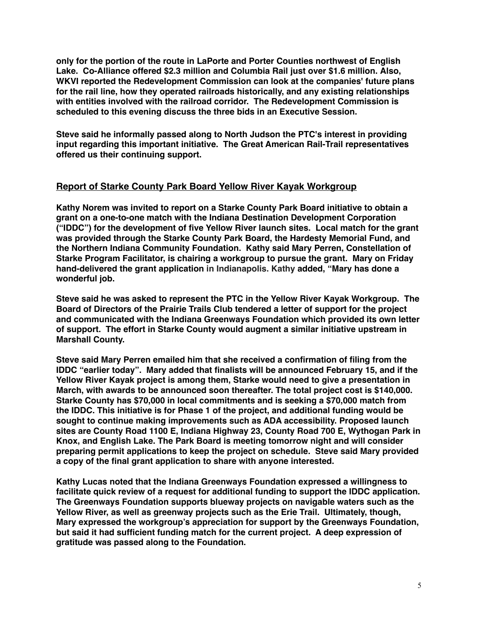**only for the portion of the route in LaPorte and Porter Counties northwest of English Lake. Co-Alliance offered \$2.3 million and Columbia Rail just over \$1.6 million. Also, WKVI reported the Redevelopment Commission can look at the companies' future plans for the rail line, how they operated railroads historically, and any existing relationships with entities involved with the railroad corridor. The Redevelopment Commission is scheduled to this evening discuss the three bids in an Executive Session.** 

**Steve said he informally passed along to North Judson the PTC's interest in providing input regarding this important initiative. The Great American Rail-Trail representatives offered us their continuing support.**

## **Report of Starke County Park Board Yellow River Kayak Workgroup**

**Kathy Norem was invited to report on a Starke County Park Board initiative to obtain a grant on a one-to-one match with the Indiana Destination Development Corporation ("IDDC") for the development of five Yellow River launch sites. Local match for the grant was provided through the Starke County Park Board, the Hardesty Memorial Fund, and the Northern Indiana Community Foundation. Kathy said Mary Perren, Constellation of Starke Program Facilitator, is chairing a workgroup to pursue the grant. Mary on Friday hand-delivered the grant application in Indianapolis. Kathy added, "Mary has done a wonderful job.**

**Steve said he was asked to represent the PTC in the Yellow River Kayak Workgroup. The Board of Directors of the Prairie Trails Club tendered a letter of support for the project and communicated with the Indiana Greenways Foundation which provided its own letter of support. The effort in Starke County would augment a similar initiative upstream in Marshall County.**

**Steve said Mary Perren emailed him that she received a confirmation of filing from the IDDC "earlier today". Mary added that finalists will be announced February 15, and if the Yellow River Kayak project is among them, Starke would need to give a presentation in March, with awards to be announced soon thereafter. The total project cost is \$140,000. Starke County has \$70,000 in local commitments and is seeking a \$70,000 match from the IDDC. This initiative is for Phase 1 of the project, and additional funding would be sought to continue making improvements such as ADA accessibility. Proposed launch sites are County Road 1100 E, Indiana Highway 23, County Road 700 E, Wythogan Park in Knox, and English Lake. The Park Board is meeting tomorrow night and will consider preparing permit applications to keep the project on schedule. Steve said Mary provided a copy of the final grant application to share with anyone interested.**

**Kathy Lucas noted that the Indiana Greenways Foundation expressed a willingness to facilitate quick review of a request for additional funding to support the IDDC application. The Greenways Foundation supports blueway projects on navigable waters such as the Yellow River, as well as greenway projects such as the Erie Trail. Ultimately, though, Mary expressed the workgroup's appreciation for support by the Greenways Foundation, but said it had sufficient funding match for the current project. A deep expression of gratitude was passed along to the Foundation.**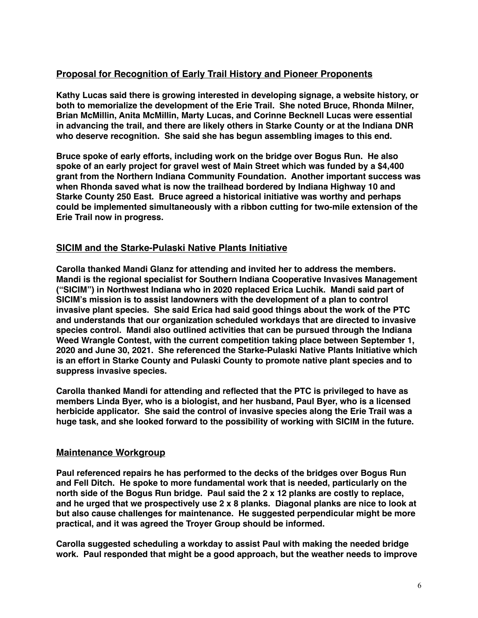# **Proposal for Recognition of Early Trail History and Pioneer Proponents**

**Kathy Lucas said there is growing interested in developing signage, a website history, or both to memorialize the development of the Erie Trail. She noted Bruce, Rhonda Milner, Brian McMillin, Anita McMillin, Marty Lucas, and Corinne Becknell Lucas were essential in advancing the trail, and there are likely others in Starke County or at the Indiana DNR who deserve recognition. She said she has begun assembling images to this end.**

**Bruce spoke of early efforts, including work on the bridge over Bogus Run. He also spoke of an early project for gravel west of Main Street which was funded by a \$4,400 grant from the Northern Indiana Community Foundation. Another important success was when Rhonda saved what is now the trailhead bordered by Indiana Highway 10 and Starke County 250 East. Bruce agreed a historical initiative was worthy and perhaps could be implemented simultaneously with a ribbon cutting for two-mile extension of the Erie Trail now in progress.**

# **SICIM and the Starke-Pulaski Native Plants Initiative**

**Carolla thanked Mandi Glanz for attending and invited her to address the members. Mandi is the regional specialist for Southern Indiana Cooperative Invasives Management ("SICIM") in Northwest Indiana who in 2020 replaced Erica Luchik. Mandi said part of SICIM's mission is to assist landowners with the development of a plan to control invasive plant species. She said Erica had said good things about the work of the PTC and understands that our organization scheduled workdays that are directed to invasive species control. Mandi also outlined activities that can be pursued through the Indiana Weed Wrangle Contest, with the current competition taking place between September 1, 2020 and June 30, 2021. She referenced the Starke-Pulaski Native Plants Initiative which is an effort in Starke County and Pulaski County to promote native plant species and to suppress invasive species.**

**Carolla thanked Mandi for attending and reflected that the PTC is privileged to have as members Linda Byer, who is a biologist, and her husband, Paul Byer, who is a licensed herbicide applicator. She said the control of invasive species along the Erie Trail was a huge task, and she looked forward to the possibility of working with SICIM in the future.**

# **Maintenance Workgroup**

**Paul referenced repairs he has performed to the decks of the bridges over Bogus Run and Fell Ditch. He spoke to more fundamental work that is needed, particularly on the north side of the Bogus Run bridge. Paul said the 2 x 12 planks are costly to replace, and he urged that we prospectively use 2 x 8 planks. Diagonal planks are nice to look at but also cause challenges for maintenance. He suggested perpendicular might be more practical, and it was agreed the Troyer Group should be informed.**

**Carolla suggested scheduling a workday to assist Paul with making the needed bridge work. Paul responded that might be a good approach, but the weather needs to improve**